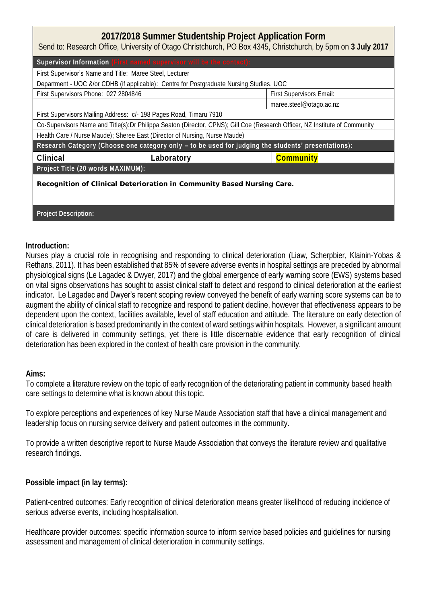## **2017/2018 Summer Studentship Project Application Form**

Send to: Research Office, University of Otago Christchurch, PO Box 4345, Christchurch, by 5pm on **3 July 2017**

| Supervisor Information (First named supervisor will be the contact):                                                         |            |                          |  |  |  |
|------------------------------------------------------------------------------------------------------------------------------|------------|--------------------------|--|--|--|
| First Supervisor's Name and Title: Maree Steel, Lecturer                                                                     |            |                          |  |  |  |
| Department - UOC &/or CDHB (if applicable): Centre for Postgraduate Nursing Studies, UOC                                     |            |                          |  |  |  |
| First Supervisors Phone: 027 2804846                                                                                         |            | First Supervisors Email: |  |  |  |
|                                                                                                                              |            | maree.steel@otago.ac.nz  |  |  |  |
| First Supervisors Mailing Address: c/- 198 Pages Road, Timaru 7910                                                           |            |                          |  |  |  |
| Co-Supervisors Name and Title(s): Dr Philippa Seaton (Director, CPNS); Gill Coe (Research Officer, NZ Institute of Community |            |                          |  |  |  |
| Health Care / Nurse Maude); Sheree East (Director of Nursing, Nurse Maude)                                                   |            |                          |  |  |  |
| Research Category (Choose one category only - to be used for judging the students' presentations):                           |            |                          |  |  |  |
| Clinical                                                                                                                     | Laboratory | Community                |  |  |  |
| Project Title (20 words MAXIMUM):                                                                                            |            |                          |  |  |  |
| Recognition of Clinical Deterioration in Community Based Nursing Care.                                                       |            |                          |  |  |  |
|                                                                                                                              |            |                          |  |  |  |
|                                                                                                                              |            |                          |  |  |  |
| Project Description:                                                                                                         |            |                          |  |  |  |
|                                                                                                                              |            |                          |  |  |  |

**Introduction:**

Nurses play a crucial role in recognising and responding to clinical deterioration (Liaw, Scherpbier, Klainin-Yobas & Rethans, 2011). It has been established that 85% of severe adverse events in hospital settings are preceded by abnormal physiological signs (Le Lagadec & Dwyer, 2017) and the global emergence of early warning score (EWS) systems based on vital signs observations has sought to assist clinical staff to detect and respond to clinical deterioration at the earliest indicator. Le Lagadec and Dwyer's recent scoping review conveyed the benefit of early warning score systems can be to augment the ability of clinical staff to recognize and respond to patient decline, however that effectiveness appears to be dependent upon the context, facilities available, level of staff education and attitude. The literature on early detection of clinical deterioration is based predominantly in the context of ward settings within hospitals. However, a significant amount of care is delivered in community settings, yet there is little discernable evidence that early recognition of clinical deterioration has been explored in the context of health care provision in the community.

## **Aims:**

To complete a literature review on the topic of early recognition of the deteriorating patient in community based health care settings to determine what is known about this topic.

To explore perceptions and experiences of key Nurse Maude Association staff that have a clinical management and leadership focus on nursing service delivery and patient outcomes in the community.

To provide a written descriptive report to Nurse Maude Association that conveys the literature review and qualitative research findings.

**Possible impact (in lay terms):** 

Patient-centred outcomes: Early recognition of clinical deterioration means greater likelihood of reducing incidence of serious adverse events, including hospitalisation.

Healthcare provider outcomes: specific information source to inform service based policies and guidelines for nursing assessment and management of clinical deterioration in community settings.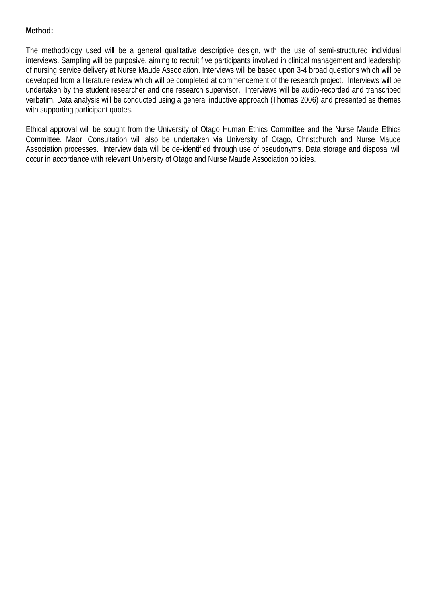## **Method:**

The methodology used will be a general qualitative descriptive design, with the use of semi-structured individual interviews. Sampling will be purposive, aiming to recruit five participants involved in clinical management and leadership of nursing service delivery at Nurse Maude Association. Interviews will be based upon 3-4 broad questions which will be developed from a literature review which will be completed at commencement of the research project. Interviews will be undertaken by the student researcher and one research supervisor. Interviews will be audio-recorded and transcribed verbatim. Data analysis will be conducted using a general inductive approach (Thomas 2006) and presented as themes with supporting participant quotes.

Ethical approval will be sought from the University of Otago Human Ethics Committee and the Nurse Maude Ethics Committee. Maori Consultation will also be undertaken via University of Otago, Christchurch and Nurse Maude Association processes. Interview data will be de-identified through use of pseudonyms. Data storage and disposal will occur in accordance with relevant University of Otago and Nurse Maude Association policies.